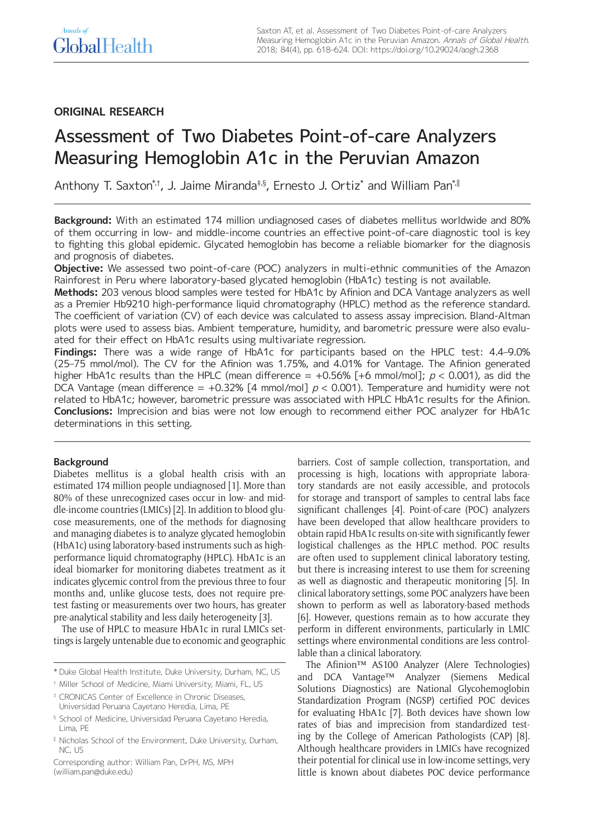# **ORIGINAL RESEARCH**

# Assessment of Two Diabetes Point-of-care Analyzers Measuring Hemoglobin A1c in the Peruvian Amazon

Anthony T. Saxton\*†, J. Jaime Miranda‡§, Ernesto J. Ortiz\* and William Pan\*∥

**Background:** With an estimated 174 million undiagnosed cases of diabetes mellitus worldwide and 80% of them occurring in low- and middle-income countries an effective point-of-care diagnostic tool is key to fighting this global epidemic. Glycated hemoglobin has become a reliable biomarker for the diagnosis and prognosis of diabetes.

**Objective:** We assessed two point-of-care (POC) analyzers in multi-ethnic communities of the Amazon Rainforest in Peru where laboratory-based glycated hemoglobin (HbA1c) testing is not available.

**Methods:** 203 venous blood samples were tested for HbA1c by Afinion and DCA Vantage analyzers as well as a Premier Hb9210 high-performance liquid chromatography (HPLC) method as the reference standard. The coefficient of variation (CV) of each device was calculated to assess assay imprecision. Bland-Altman plots were used to assess bias. Ambient temperature, humidity, and barometric pressure were also evaluated for their effect on HbA1c results using multivariate regression.

**Findings:** There was a wide range of HbA1c for participants based on the HPLC test: 4.4–9.0% (25–75 mmol/mol). The CV for the Afinion was 1.75%, and 4.01% for Vantage. The Afinion generated higher HbA1c results than the HPLC (mean difference  $= +0.56\%$  [+6 mmol/mol];  $p < 0.001$ ), as did the DCA Vantage (mean difference = +0.32% [4 mmol/mol]  $p < 0.001$ ). Temperature and humidity were not related to HbA1c; however, barometric pressure was associated with HPLC HbA1c results for the Afinion. **Conclusions:** Imprecision and bias were not low enough to recommend either POC analyzer for HbA1c determinations in this setting.

# **Background**

Diabetes mellitus is a global health crisis with an estimated 174 million people undiagnosed [1]. More than 80% of these unrecognized cases occur in low- and middle-income countries (LMICs) [2]. In addition to blood glucose measurements, one of the methods for diagnosing and managing diabetes is to analyze glycated hemoglobin (HbA1c) using laboratory-based instruments such as highperformance liquid chromatography (HPLC). HbA1c is an ideal biomarker for monitoring diabetes treatment as it indicates glycemic control from the previous three to four months and, unlike glucose tests, does not require pretest fasting or measurements over two hours, has greater pre-analytical stability and less daily heterogeneity [3].

The use of HPLC to measure HbA1c in rural LMICs settings is largely untenable due to economic and geographic barriers. Cost of sample collection, transportation, and processing is high, locations with appropriate laboratory standards are not easily accessible, and protocols for storage and transport of samples to central labs face significant challenges [4]. Point-of-care (POC) analyzers have been developed that allow healthcare providers to obtain rapid HbA1c results on-site with significantly fewer logistical challenges as the HPLC method. POC results are often used to supplement clinical laboratory testing, but there is increasing interest to use them for screening as well as diagnostic and therapeutic monitoring [5]. In clinical laboratory settings, some POC analyzers have been shown to perform as well as laboratory-based methods [6]. However, questions remain as to how accurate they perform in different environments, particularly in LMIC settings where environmental conditions are less controllable than a clinical laboratory.

The Afinion™ AS100 Analyzer (Alere Technologies) and DCA Vantage™ Analyzer (Siemens Medical Solutions Diagnostics) are National Glycohemoglobin Standardization Program (NGSP) certified POC devices for evaluating HbA1c [7]. Both devices have shown low rates of bias and imprecision from standardized testing by the College of American Pathologists (CAP) [8]. Although healthcare providers in LMICs have recognized their potential for clinical use in low-income settings, very little is known about diabetes POC device performance

<sup>\*</sup> Duke Global Health Institute, Duke University, Durham, NC, US

<sup>†</sup> Miller School of Medicine, Miami University, Miami, FL, US

<sup>‡</sup> CRONICAS Center of Excellence in Chronic Diseases, Universidad Peruana Cayetano Heredia, Lima, PE

<sup>§</sup> School of Medicine, Universidad Peruana Cayetano Heredia, Lima, PE

<sup>‖</sup> Nicholas School of the Environment, Duke University, Durham, NC, US

Corresponding author: William Pan, DrPH, MS, MPH [\(william.pan@duke.edu\)](mailto:william.pan@duke.edu)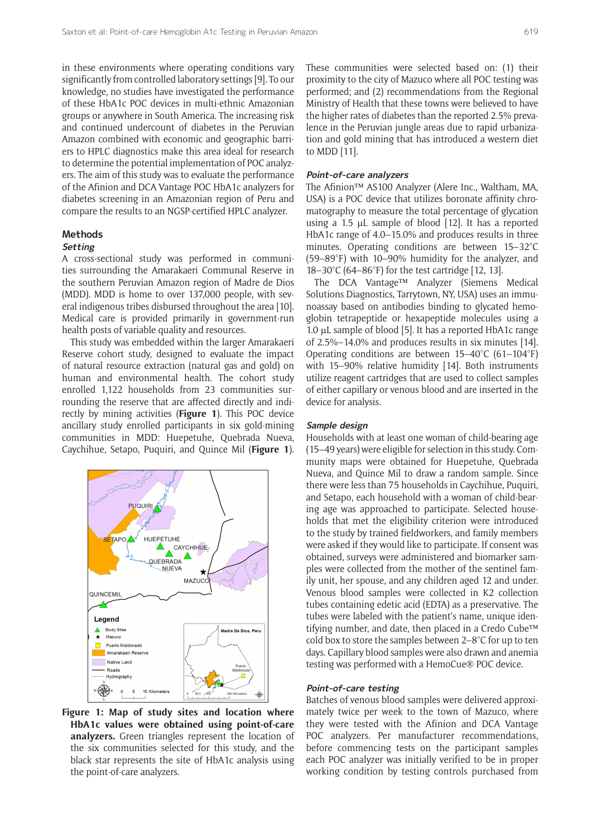in these environments where operating conditions vary significantly from controlled laboratory settings [9]. To our knowledge, no studies have investigated the performance of these HbA1c POC devices in multi-ethnic Amazonian groups or anywhere in South America. The increasing risk and continued undercount of diabetes in the Peruvian Amazon combined with economic and geographic barriers to HPLC diagnostics make this area ideal for research to determine the potential implementation of POC analyzers. The aim of this study was to evaluate the performance of the Afinion and DCA Vantage POC HbA1c analyzers for diabetes screening in an Amazonian region of Peru and compare the results to an NGSP-certified HPLC analyzer.

# **Methods**

#### **Setting**

A cross-sectional study was performed in communities surrounding the Amarakaeri Communal Reserve in the southern Peruvian Amazon region of Madre de Dios (MDD). MDD is home to over 137,000 people, with several indigenous tribes disbursed throughout the area [10]. Medical care is provided primarily in government-run health posts of variable quality and resources.

This study was embedded within the larger Amarakaeri Reserve cohort study, designed to evaluate the impact of natural resource extraction (natural gas and gold) on human and environmental health. The cohort study enrolled 1,122 households from 23 communities surrounding the reserve that are affected directly and indirectly by mining activities (**Figure 1**). This POC device ancillary study enrolled participants in six gold-mining communities in MDD: Huepetuhe, Quebrada Nueva, Caychihue, Setapo, Puquiri, and Quince Mil (**Figure 1**).



**Figure 1: Map of study sites and location where HbA1c values were obtained using point-of-care analyzers.** Green triangles represent the location of the six communities selected for this study, and the black star represents the site of HbA1c analysis using the point-of-care analyzers.

These communities were selected based on: (1) their proximity to the city of Mazuco where all POC testing was performed; and (2) recommendations from the Regional Ministry of Health that these towns were believed to have the higher rates of diabetes than the reported 2.5% prevalence in the Peruvian jungle areas due to rapid urbanization and gold mining that has introduced a western diet to MDD [11].

#### **Point-of-care analyzers**

The Afinion™ AS100 Analyzer (Alere Inc., Waltham, MA, USA) is a POC device that utilizes boronate affinity chromatography to measure the total percentage of glycation using a 1.5 μL sample of blood [12]. It has a reported HbA1c range of 4.0–15.0% and produces results in three minutes. Operating conditions are between 15–32°C (59–89°F) with 10–90% humidity for the analyzer, and 18–30°C (64–86°F) for the test cartridge [12, 13].

The DCA Vantage™ Analyzer (Siemens Medical Solutions Diagnostics, Tarrytown, NY, USA) uses an immunoassay based on antibodies binding to glycated hemoglobin tetrapeptide or hexapeptide molecules using a 1.0 μL sample of blood [5]. It has a reported HbA1c range of 2.5%–14.0% and produces results in six minutes [14]. Operating conditions are between 15–40°C (61–104°F) with 15–90% relative humidity [14]. Both instruments utilize reagent cartridges that are used to collect samples of either capillary or venous blood and are inserted in the device for analysis.

#### **Sample design**

Households with at least one woman of child-bearing age (15–49 years) were eligible for selection in this study. Community maps were obtained for Huepetuhe, Quebrada Nueva, and Quince Mil to draw a random sample. Since there were less than 75 households in Caychihue, Puquiri, and Setapo, each household with a woman of child-bearing age was approached to participate. Selected households that met the eligibility criterion were introduced to the study by trained fieldworkers, and family members were asked if they would like to participate. If consent was obtained, surveys were administered and biomarker samples were collected from the mother of the sentinel family unit, her spouse, and any children aged 12 and under. Venous blood samples were collected in K2 collection tubes containing edetic acid (EDTA) as a preservative. The tubes were labeled with the patient's name, unique identifying number, and date, then placed in a Credo Cube™ cold box to store the samples between 2–8°C for up to ten days. Capillary blood samples were also drawn and anemia testing was performed with a HemoCue® POC device.

#### **Point-of-care testing**

Batches of venous blood samples were delivered approximately twice per week to the town of Mazuco, where they were tested with the Afinion and DCA Vantage POC analyzers. Per manufacturer recommendations, before commencing tests on the participant samples each POC analyzer was initially verified to be in proper working condition by testing controls purchased from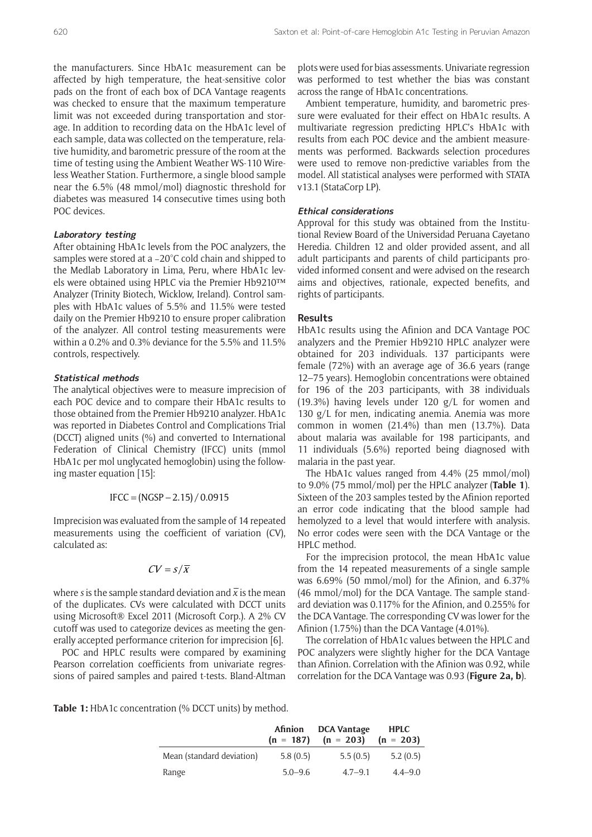the manufacturers. Since HbA1c measurement can be affected by high temperature, the heat-sensitive color pads on the front of each box of DCA Vantage reagents was checked to ensure that the maximum temperature limit was not exceeded during transportation and storage. In addition to recording data on the HbA1c level of each sample, data was collected on the temperature, relative humidity, and barometric pressure of the room at the time of testing using the Ambient Weather WS-110 Wireless Weather Station. Furthermore, a single blood sample near the 6.5% (48 mmol/mol) diagnostic threshold for diabetes was measured 14 consecutive times using both POC devices.

#### **Laboratory testing**

After obtaining HbA1c levels from the POC analyzers, the samples were stored at a –20°C cold chain and shipped to the Medlab Laboratory in Lima, Peru, where HbA1c levels were obtained using HPLC via the Premier Hb9210™ Analyzer (Trinity Biotech, Wicklow, Ireland). Control samples with HbA1c values of 5.5% and 11.5% were tested daily on the Premier Hb9210 to ensure proper calibration of the analyzer. All control testing measurements were within a 0.2% and 0.3% deviance for the 5.5% and 11.5% controls, respectively.

#### **Statistical methods**

The analytical objectives were to measure imprecision of each POC device and to compare their HbA1c results to those obtained from the Premier Hb9210 analyzer. HbA1c was reported in Diabetes Control and Complications Trial (DCCT) aligned units (%) and converted to International Federation of Clinical Chemistry (IFCC) units (mmol HbA1c per mol unglycated hemoglobin) using the following master equation [15]:

$$
IFCC = (NGSP - 2.15) / 0.0915
$$

Imprecision was evaluated from the sample of 14 repeated measurements using the coefficient of variation (CV), calculated as:

$$
CV = s/\overline{x}
$$

where *s* is the sample standard deviation and  $\bar{x}$  is the mean of the duplicates. CVs were calculated with DCCT units using Microsoft® Excel 2011 (Microsoft Corp.). A 2% CV cutoff was used to categorize devices as meeting the generally accepted performance criterion for imprecision [6].

POC and HPLC results were compared by examining Pearson correlation coefficients from univariate regressions of paired samples and paired t-tests. Bland-Altman

plots were used for bias assessments. Univariate regression was performed to test whether the bias was constant across the range of HbA1c concentrations.

Ambient temperature, humidity, and barometric pressure were evaluated for their effect on HbA1c results. A multivariate regression predicting HPLC's HbA1c with results from each POC device and the ambient measurements was performed. Backwards selection procedures were used to remove non-predictive variables from the model. All statistical analyses were performed with STATA v13.1 (StataCorp LP).

#### **Ethical considerations**

Approval for this study was obtained from the Institutional Review Board of the Universidad Peruana Cayetano Heredia. Children 12 and older provided assent, and all adult participants and parents of child participants provided informed consent and were advised on the research aims and objectives, rationale, expected benefits, and rights of participants.

#### **Results**

HbA1c results using the Afinion and DCA Vantage POC analyzers and the Premier Hb9210 HPLC analyzer were obtained for 203 individuals. 137 participants were female (72%) with an average age of 36.6 years (range 12–75 years). Hemoglobin concentrations were obtained for 196 of the 203 participants, with 38 individuals (19.3%) having levels under 120 g/L for women and 130 g/L for men, indicating anemia. Anemia was more common in women (21.4%) than men (13.7%). Data about malaria was available for 198 participants, and 11 individuals (5.6%) reported being diagnosed with malaria in the past year.

The HbA1c values ranged from 4.4% (25 mmol/mol) to 9.0% (75 mmol/mol) per the HPLC analyzer (**Table 1**). Sixteen of the 203 samples tested by the Afinion reported an error code indicating that the blood sample had hemolyzed to a level that would interfere with analysis. No error codes were seen with the DCA Vantage or the HPLC method.

For the imprecision protocol, the mean HbA1c value from the 14 repeated measurements of a single sample was 6.69% (50 mmol/mol) for the Afinion, and 6.37% (46 mmol/mol) for the DCA Vantage. The sample standard deviation was 0.117% for the Afinion, and 0.255% for the DCA Vantage. The corresponding CV was lower for the Afinion (1.75%) than the DCA Vantage (4.01%).

The correlation of HbA1c values between the HPLC and POC analyzers were slightly higher for the DCA Vantage than Afinion. Correlation with the Afinion was 0.92, while correlation for the DCA Vantage was 0.93 (**Figure 2a, b**).

**Table 1:** HbA1c concentration (% DCCT units) by method.

|                           | Afinion     | <b>DCA Vantage</b><br>$(n = 187)$ $(n = 203)$ $(n = 203)$ | <b>HPLC</b> |
|---------------------------|-------------|-----------------------------------------------------------|-------------|
| Mean (standard deviation) | 5.8(0.5)    | 5.5(0.5)                                                  | 5.2(0.5)    |
| Range                     | $5.0 - 9.6$ | $4.7 - 9.1$                                               | $4.4 - 9.0$ |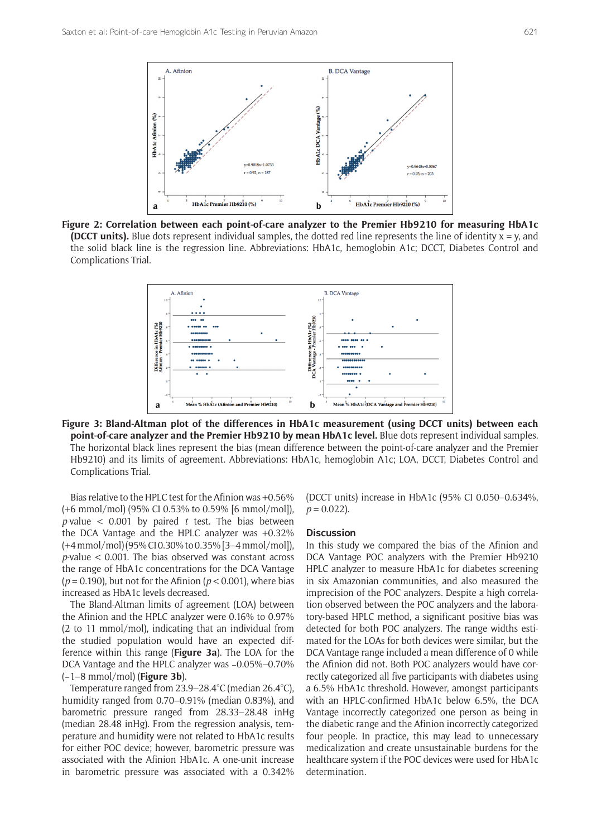

**Figure 2: Correlation between each point-of-care analyzer to the Premier Hb9210 for measuring HbA1c (DCCT units).** Blue dots represent individual samples, the dotted red line represents the line of identity  $x = y$ , and the solid black line is the regression line. Abbreviations: HbA1c, hemoglobin A1c; DCCT, Diabetes Control and Complications Trial.



**Figure 3: Bland-Altman plot of the differences in HbA1c measurement (using DCCT units) between each point-of-care analyzer and the Premier Hb9210 by mean HbA1c level.** Blue dots represent individual samples. The horizontal black lines represent the bias (mean difference between the point-of-care analyzer and the Premier Hb9210) and its limits of agreement. Abbreviations: HbA1c, hemoglobin A1c; LOA, DCCT, Diabetes Control and Complications Trial.

Bias relative to the HPLC test for the Afinion was +0.56% (+6 mmol/mol) (95% CI 0.53% to 0.59% [6 mmol/mol]), *p*-value < 0.001 by paired *t* test. The bias between the DCA Vantage and the HPLC analyzer was +0.32% (+4mmol/mol) (95% CI 0.30% to 0.35% [3–4mmol/mol]), *p*-value < 0.001. The bias observed was constant across the range of HbA1c concentrations for the DCA Vantage (*p* = 0.190), but not for the Afinion (*p* < 0.001), where bias increased as HbA1c levels decreased.

The Bland-Altman limits of agreement (LOA) between the Afinion and the HPLC analyzer were 0.16% to 0.97% (2 to 11 mmol/mol), indicating that an individual from the studied population would have an expected difference within this range (**Figure 3a**). The LOA for the DCA Vantage and the HPLC analyzer was −0.05%–0.70% (−1–8 mmol/mol) (**Figure 3b**).

Temperature ranged from 23.9–28.4°C (median 26.4°C), humidity ranged from 0.70–0.91% (median 0.83%), and barometric pressure ranged from 28.33–28.48 inHg (median 28.48 inHg). From the regression analysis, temperature and humidity were not related to HbA1c results for either POC device; however, barometric pressure was associated with the Afinion HbA1c. A one-unit increase in barometric pressure was associated with a 0.342%

(DCCT units) increase in HbA1c (95% CI 0.050–0.634%,  $p = 0.022$ ).

#### **Discussion**

In this study we compared the bias of the Afinion and DCA Vantage POC analyzers with the Premier Hb9210 HPLC analyzer to measure HbA1c for diabetes screening in six Amazonian communities, and also measured the imprecision of the POC analyzers. Despite a high correlation observed between the POC analyzers and the laboratory-based HPLC method, a significant positive bias was detected for both POC analyzers. The range widths estimated for the LOAs for both devices were similar, but the DCA Vantage range included a mean difference of 0 while the Afinion did not. Both POC analyzers would have correctly categorized all five participants with diabetes using a 6.5% HbA1c threshold. However, amongst participants with an HPLC-confirmed HbA1c below 6.5%, the DCA Vantage incorrectly categorized one person as being in the diabetic range and the Afinion incorrectly categorized four people. In practice, this may lead to unnecessary medicalization and create unsustainable burdens for the healthcare system if the POC devices were used for HbA1c determination.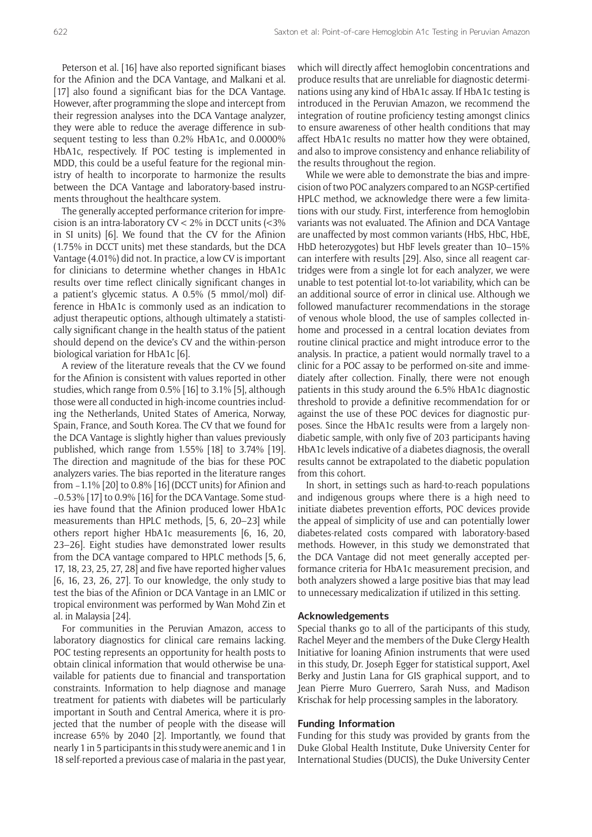Peterson et al. [16] have also reported significant biases for the Afinion and the DCA Vantage, and Malkani et al. [17] also found a significant bias for the DCA Vantage. However, after programming the slope and intercept from their regression analyses into the DCA Vantage analyzer, they were able to reduce the average difference in subsequent testing to less than 0.2% HbA1c, and 0.0000% HbA1c, respectively. If POC testing is implemented in MDD, this could be a useful feature for the regional ministry of health to incorporate to harmonize the results between the DCA Vantage and laboratory-based instruments throughout the healthcare system.

The generally accepted performance criterion for imprecision is an intra-laboratory CV < 2% in DCCT units (<3% in SI units) [6]. We found that the CV for the Afinion (1.75% in DCCT units) met these standards, but the DCA Vantage (4.01%) did not. In practice, a low CV is important for clinicians to determine whether changes in HbA1c results over time reflect clinically significant changes in a patient's glycemic status. A 0.5% (5 mmol/mol) difference in HbA1c is commonly used as an indication to adjust therapeutic options, although ultimately a statistically significant change in the health status of the patient should depend on the device's CV and the within-person biological variation for HbA1c [6].

A review of the literature reveals that the CV we found for the Afinion is consistent with values reported in other studies, which range from 0.5% [16] to 3.1% [5], although those were all conducted in high-income countries including the Netherlands, United States of America, Norway, Spain, France, and South Korea. The CV that we found for the DCA Vantage is slightly higher than values previously published, which range from 1.55% [18] to 3.74% [19]. The direction and magnitude of the bias for these POC analyzers varies. The bias reported in the literature ranges from −1.1% [20] to 0.8% [16] (DCCT units) for Afinion and −0.53% [17] to 0.9% [16] for the DCA Vantage. Some studies have found that the Afinion produced lower HbA1c measurements than HPLC methods, [5, 6, 20–23] while others report higher HbA1c measurements [6, 16, 20, 23–26]. Eight studies have demonstrated lower results from the DCA vantage compared to HPLC methods [5, 6, 17, 18, 23, 25, 27, 28] and five have reported higher values [6, 16, 23, 26, 27]. To our knowledge, the only study to test the bias of the Afinion or DCA Vantage in an LMIC or tropical environment was performed by Wan Mohd Zin et al. in Malaysia [24].

For communities in the Peruvian Amazon, access to laboratory diagnostics for clinical care remains lacking. POC testing represents an opportunity for health posts to obtain clinical information that would otherwise be unavailable for patients due to financial and transportation constraints. Information to help diagnose and manage treatment for patients with diabetes will be particularly important in South and Central America, where it is projected that the number of people with the disease will increase 65% by 2040 [2]. Importantly, we found that nearly 1 in 5 participants in this study were anemic and 1 in 18 self-reported a previous case of malaria in the past year, which will directly affect hemoglobin concentrations and produce results that are unreliable for diagnostic determinations using any kind of HbA1c assay. If HbA1c testing is introduced in the Peruvian Amazon, we recommend the integration of routine proficiency testing amongst clinics to ensure awareness of other health conditions that may affect HbA1c results no matter how they were obtained, and also to improve consistency and enhance reliability of the results throughout the region.

While we were able to demonstrate the bias and imprecision of two POC analyzers compared to an NGSP-certified HPLC method, we acknowledge there were a few limitations with our study. First, interference from hemoglobin variants was not evaluated. The Afinion and DCA Vantage are unaffected by most common variants (HbS, HbC, HbE, HbD heterozygotes) but HbF levels greater than 10–15% can interfere with results [29]. Also, since all reagent cartridges were from a single lot for each analyzer, we were unable to test potential lot-to-lot variability, which can be an additional source of error in clinical use. Although we followed manufacturer recommendations in the storage of venous whole blood, the use of samples collected inhome and processed in a central location deviates from routine clinical practice and might introduce error to the analysis. In practice, a patient would normally travel to a clinic for a POC assay to be performed on-site and immediately after collection. Finally, there were not enough patients in this study around the 6.5% HbA1c diagnostic threshold to provide a definitive recommendation for or against the use of these POC devices for diagnostic purposes. Since the HbA1c results were from a largely nondiabetic sample, with only five of 203 participants having HbA1c levels indicative of a diabetes diagnosis, the overall results cannot be extrapolated to the diabetic population from this cohort.

In short, in settings such as hard-to-reach populations and indigenous groups where there is a high need to initiate diabetes prevention efforts, POC devices provide the appeal of simplicity of use and can potentially lower diabetes-related costs compared with laboratory-based methods. However, in this study we demonstrated that the DCA Vantage did not meet generally accepted performance criteria for HbA1c measurement precision, and both analyzers showed a large positive bias that may lead to unnecessary medicalization if utilized in this setting.

#### **Acknowledgements**

Special thanks go to all of the participants of this study, Rachel Meyer and the members of the Duke Clergy Health Initiative for loaning Afinion instruments that were used in this study, Dr. Joseph Egger for statistical support, Axel Berky and Justin Lana for GIS graphical support, and to Jean Pierre Muro Guerrero, Sarah Nuss, and Madison Krischak for help processing samples in the laboratory.

#### **Funding Information**

Funding for this study was provided by grants from the Duke Global Health Institute, Duke University Center for International Studies (DUCIS), the Duke University Center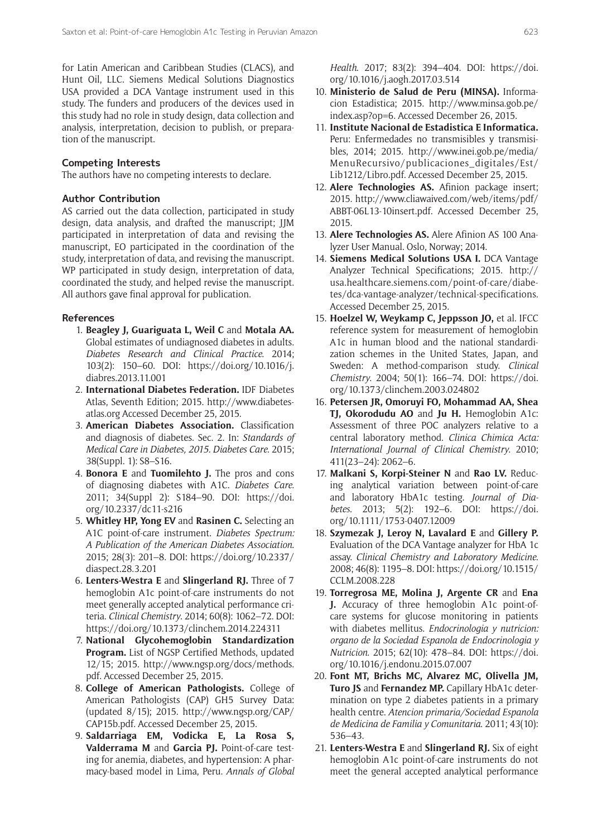for Latin American and Caribbean Studies (CLACS), and Hunt Oil, LLC. Siemens Medical Solutions Diagnostics USA provided a DCA Vantage instrument used in this study. The funders and producers of the devices used in this study had no role in study design, data collection and analysis, interpretation, decision to publish, or preparation of the manuscript.

## **Competing Interests**

The authors have no competing interests to declare.

## **Author Contribution**

AS carried out the data collection, participated in study design, data analysis, and drafted the manuscript; JJM participated in interpretation of data and revising the manuscript, EO participated in the coordination of the study, interpretation of data, and revising the manuscript. WP participated in study design, interpretation of data, coordinated the study, and helped revise the manuscript. All authors gave final approval for publication.

#### **References**

- 1. **Beagley J, Guariguata L, Weil C** and **Motala AA.** Global estimates of undiagnosed diabetes in adults. *Diabetes Research and Clinical Practice*. 2014; 103(2): 150–60. DOI: [https://doi.org/10.1016/j.](https://doi.org/10.1016/j.diabres.2013.11.001) [diabres.2013.11.001](https://doi.org/10.1016/j.diabres.2013.11.001)
- 2. **International Diabetes Federation.** IDF Diabetes Atlas, Seventh Edition; 2015. [http://www.diabetes](http://www.diabetesatlas.org)[atlas.org](http://www.diabetesatlas.org) Accessed December 25, 2015.
- 3. **American Diabetes Association.** Classification and diagnosis of diabetes. Sec. 2. In: *Standards of Medical Care in Diabetes, 2015. Diabetes Care*. 2015; 38(Suppl. 1): S8–S16.
- 4. **Bonora E** and **Tuomilehto J.** The pros and cons of diagnosing diabetes with A1C. *Diabetes Care*. 2011; 34(Suppl 2): S184–90. DOI: [https://doi.](https://doi.org/10.2337/dc11-s216) [org/10.2337/dc11-s216](https://doi.org/10.2337/dc11-s216)
- 5. **Whitley HP, Yong EV** and **Rasinen C.** Selecting an A1C point-of-care instrument. *Diabetes Spectrum: A Publication of the American Diabetes Association*. 2015; 28(3): 201–8. DOI: [https://doi.org/10.2337/](https://doi.org/10.2337/diaspect.28.3.201) [diaspect.28.3.201](https://doi.org/10.2337/diaspect.28.3.201)
- 6. **Lenters-Westra E** and **Slingerland RJ.** Three of 7 hemoglobin A1c point-of-care instruments do not meet generally accepted analytical performance criteria. *Clinical Chemistry*. 2014; 60(8): 1062–72. DOI: <https://doi.org/10.1373/clinchem.2014.224311>
- 7. **National Glycohemoglobin Standardization Program.** List of NGSP Certified Methods, updated 12/15; 2015. [http://www.ngsp.org/docs/methods.](http://www.ngsp.org/docs/methods.pdf) [pdf](http://www.ngsp.org/docs/methods.pdf). Accessed December 25, 2015.
- 8. **College of American Pathologists.** College of American Pathologists (CAP) GH5 Survey Data: (updated 8/15); 2015. [http://www.ngsp.org/CAP/](http://www.ngsp.org/CAP/CAP15b.pdf) [CAP15b.pdf](http://www.ngsp.org/CAP/CAP15b.pdf). Accessed December 25, 2015.
- 9. **Saldarriaga EM, Vodicka E, La Rosa S, Valderrama M** and **Garcia PJ.** Point-of-care testing for anemia, diabetes, and hypertension: A pharmacy-based model in Lima, Peru. *Annals of Global*

*Health*. 2017; 83(2): 394–404. DOI: [https://doi.](https://doi.org/10.1016/j.aogh.2017.03.514) [org/10.1016/j.aogh.2017.03.514](https://doi.org/10.1016/j.aogh.2017.03.514)

- 10. **Ministerio de Salud de Peru (MINSA).** Informacion Estadistica; 2015. [http://www.minsa.gob.pe/](http://www.minsa.gob.pe/index.asp?op=6) [index.asp?op=6.](http://www.minsa.gob.pe/index.asp?op=6) Accessed December 26, 2015.
- 11. **Institute Nacional de Estadistica E Informatica.** Peru: Enfermedades no transmisibles y transmisibles, 2014; 2015. [http://www.inei.gob.pe/media/](http://www.inei.gob.pe/media/MenuRecursivo/publicaciones_digitales/Est/Lib1212/Libro.pdf) [MenuRecursivo/publicaciones\\_digitales/Est/](http://www.inei.gob.pe/media/MenuRecursivo/publicaciones_digitales/Est/Lib1212/Libro.pdf) [Lib1212/Libro.pdf](http://www.inei.gob.pe/media/MenuRecursivo/publicaciones_digitales/Est/Lib1212/Libro.pdf). Accessed December 25, 2015.
- 12. **Alere Technologies AS.** Afinion package insert; 2015. [http://www.cliawaived.com/web/items/pdf/](http://www.cliawaived.com/web/items/pdf/ABBT-06L13-10insert.pdf) [ABBT-06L13-10insert.pdf](http://www.cliawaived.com/web/items/pdf/ABBT-06L13-10insert.pdf). Accessed December 25, 2015.
- 13. **Alere Technologies AS.** Alere Afinion AS 100 Analyzer User Manual. Oslo, Norway; 2014.
- 14. **Siemens Medical Solutions USA I.** DCA Vantage Analyzer Technical Specifications; 2015. [http://](http://usa.healthcare.siemens.com/point-of-care/diabetes/dca-vantage-analyzer/technical-specifications) [usa.healthcare.siemens.com/point-of-care/diabe](http://usa.healthcare.siemens.com/point-of-care/diabetes/dca-vantage-analyzer/technical-specifications)[tes/dca-vantage-analyzer/technical-specifications](http://usa.healthcare.siemens.com/point-of-care/diabetes/dca-vantage-analyzer/technical-specifications). Accessed December 25, 2015.
- 15. **Hoelzel W, Weykamp C, Jeppsson JO,** et al. IFCC reference system for measurement of hemoglobin A1c in human blood and the national standardization schemes in the United States, Japan, and Sweden: A method-comparison study. *Clinical Chemistry*. 2004; 50(1): 166–74. DOI: [https://doi.](https://doi.org/10.1373/clinchem.2003.024802) [org/10.1373/clinchem.2003.024802](https://doi.org/10.1373/clinchem.2003.024802)
- 16. **Petersen JR, Omoruyi FO, Mohammad AA, Shea TJ, Okorodudu AO** and **Ju H.** Hemoglobin A1c: Assessment of three POC analyzers relative to a central laboratory method. *Clinica Chimica Acta: International Journal of Clinical Chemistry*. 2010; 411(23–24): 2062–6.
- 17. **Malkani S, Korpi-Steiner N** and **Rao LV.** Reducing analytical variation between point-of-care and laboratory HbA1c testing. *Journal of Diabetes*. 2013; 5(2): 192–6. DOI: [https://doi.](https://doi.org/10.1111/1753-0407.12009) [org/10.1111/1753-0407.12009](https://doi.org/10.1111/1753-0407.12009)
- 18. **Szymezak J, Leroy N, Lavalard E** and **Gillery P.** Evaluation of the DCA Vantage analyzer for HbA 1c assay. *Clinical Chemistry and Laboratory Medicine*. 2008; 46(8): 1195–8. DOI: [https://doi.org/10.1515/](https://doi.org/10.1515/CCLM.2008.228) [CCLM.2008.228](https://doi.org/10.1515/CCLM.2008.228)
- 19. **Torregrosa ME, Molina J, Argente CR** and **Ena J.** Accuracy of three hemoglobin A1c point-ofcare systems for glucose monitoring in patients with diabetes mellitus. *Endocrinologia y nutricion: organo de la Sociedad Espanola de Endocrinologia y Nutricion*. 2015; 62(10): 478–84. DOI: [https://doi.](https://doi.org/10.1016/j.endonu.2015.07.007) [org/10.1016/j.endonu.2015.07.007](https://doi.org/10.1016/j.endonu.2015.07.007)
- 20. **Font MT, Brichs MC, Alvarez MC, Olivella JM, Turo JS** and **Fernandez MP.** Capillary HbA1c determination on type 2 diabetes patients in a primary health centre. *Atencion primaria/Sociedad Espanola de Medicina de Familia y Comunitaria*. 2011; 43(10): 536–43.
- 21. **Lenters-Westra E** and **Slingerland RJ.** Six of eight hemoglobin A1c point-of-care instruments do not meet the general accepted analytical performance